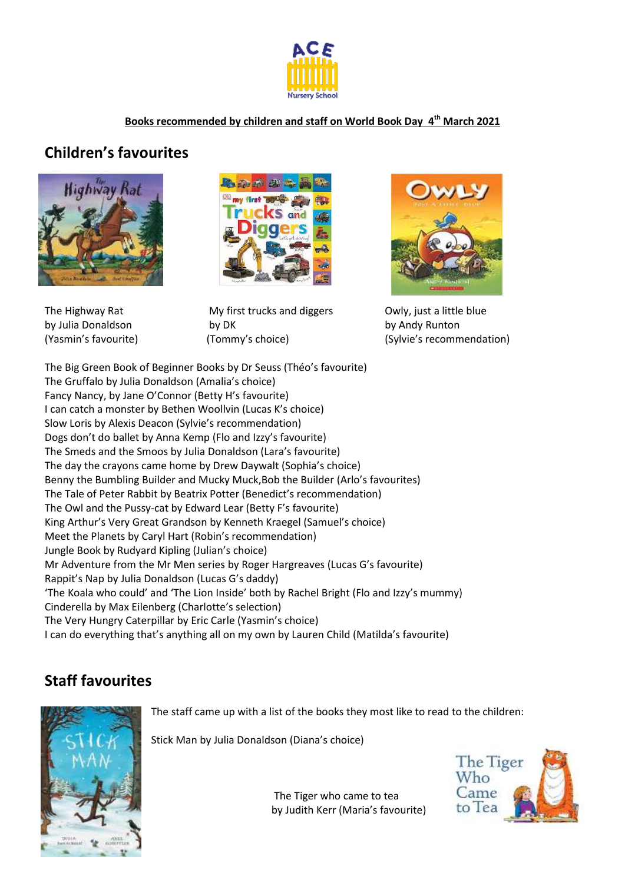

## **Books recommended by children and staff on World Book Day 4 th March 2021**

## **Children's favourites**





The Highway Rat **My first trucks and diggers** Owly, just a little blue by Julia Donaldson by DK by Andy Runton



(Yasmin's favourite) (Tommy's choice) (Sylvie's recommendation)

The Big Green Book of Beginner Books by Dr Seuss (Théo's favourite) The Gruffalo by Julia Donaldson (Amalia's choice) Fancy Nancy, by Jane O'Connor (Betty H's favourite) I can catch a monster by Bethen Woollvin (Lucas K's choice) Slow Loris by Alexis Deacon (Sylvie's recommendation) Dogs don't do ballet by Anna Kemp (Flo and Izzy's favourite) The Smeds and the Smoos by Julia Donaldson (Lara's favourite) The day the crayons came home by Drew Daywalt (Sophia's choice) Benny the Bumbling Builder and Mucky Muck,Bob the Builder (Arlo's favourites) The Tale of Peter Rabbit by Beatrix Potter (Benedict's recommendation) The Owl and the Pussy-cat by Edward Lear (Betty F's favourite) King Arthur's Very Great Grandson by Kenneth Kraegel (Samuel's choice) Meet the Planets by Caryl Hart (Robin's recommendation) Jungle Book by Rudyard Kipling (Julian's choice) Mr Adventure from the Mr Men series by Roger Hargreaves (Lucas G's favourite) Rappit's Nap by Julia Donaldson (Lucas G's daddy) 'The Koala who could' and 'The Lion Inside' both by Rachel Bright (Flo and Izzy's mummy) Cinderella by Max Eilenberg (Charlotte's selection) The Very Hungry Caterpillar by Eric Carle (Yasmin's choice) I can do everything that's anything all on my own by Lauren Child (Matilda's favourite)

## **Staff favourites**



The staff came up with a list of the books they most like to read to the children:

Stick Man by Julia Donaldson (Diana's choice)



The Tiger who came to tea by Judith Kerr (Maria's favourite)